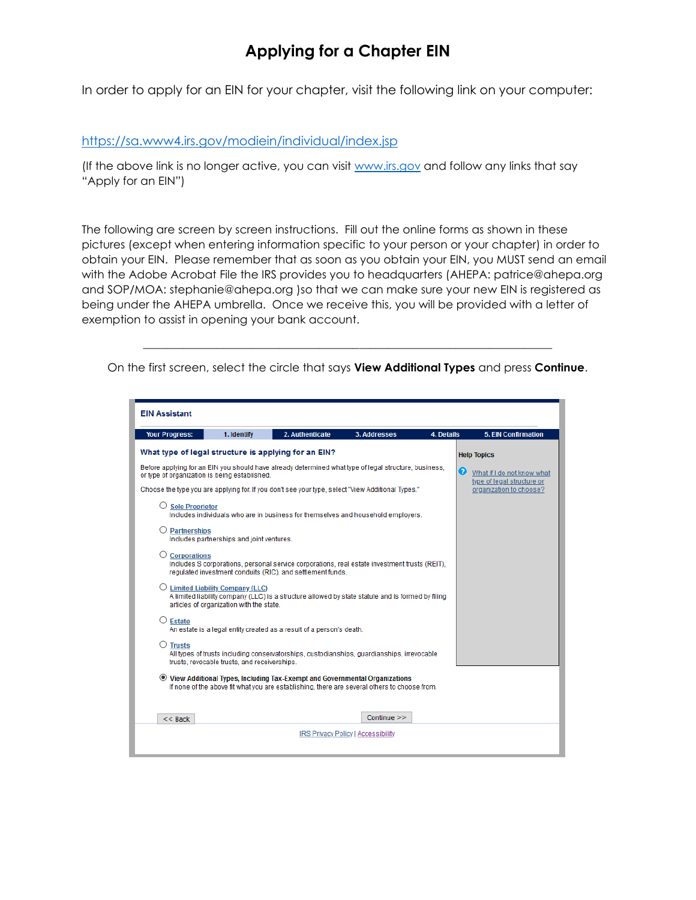In order to apply for an EIN for your chapter, visit the following link on your computer:

#### <https://sa.www4.irs.gov/modiein/individual/index.jsp>

(If the above link is no longer active, you can visit [www.irs.gov](http://www.irs.gov/) and follow any links that say "Apply for an EIN")

The following are screen by screen instructions. Fill out the online forms as shown in these pictures (except when entering information specific to your person or your chapter) in order to obtain your EIN. Please remember that as soon as you obtain your EIN, you MUST send an email with the Adobe Acrobat File the IRS provides you to headquarters (AHEPA: patrice@ahepa.org and SOP/MOA: stephanie@ahepa.org )so that we can make sure your new EIN is registered as being under the AHEPA umbrella. Once we receive this, you will be provided with a letter of exemption to assist in opening your bank account.

\_\_\_\_\_\_\_\_\_\_\_\_\_\_\_\_\_\_\_\_\_\_\_\_\_\_\_\_\_\_\_\_\_\_\_\_\_\_\_\_\_\_\_\_\_\_\_\_\_\_\_\_\_\_\_\_\_\_\_\_\_\_\_\_\_\_\_\_\_\_\_\_ On the first screen, select the circle that says **View Additional Types** and press **Continue**.

| <b>EIN Assistant</b>                                 |                                                                                        |                                                                                                                                                                              |                                           |            |                                                               |
|------------------------------------------------------|----------------------------------------------------------------------------------------|------------------------------------------------------------------------------------------------------------------------------------------------------------------------------|-------------------------------------------|------------|---------------------------------------------------------------|
| <b>Your Progress:</b>                                | 1. Identify                                                                            | 2. Authenticate                                                                                                                                                              | 3. Addresses                              | 4. Details | <b>5. EIN Confirmation</b>                                    |
| What type of legal structure is applying for an EIN? |                                                                                        |                                                                                                                                                                              |                                           |            | <b>Help Topics</b>                                            |
| or type of organization is being established.        |                                                                                        | Before applying for an EIN you should have already determined what type of legal structure, business,                                                                        |                                           |            | Q<br>What if I do not know what<br>type of legal structure or |
|                                                      |                                                                                        | Choose the type you are applying for. If you don't see your type, select "View Additional Types."                                                                            |                                           |            | organization to choose?                                       |
| <b>Sole Proprietor</b>                               |                                                                                        | Includes individuals who are in business for themselves and household employers.                                                                                             |                                           |            |                                                               |
| <b>Partnerships</b>                                  | Includes partnerships and joint ventures.                                              |                                                                                                                                                                              |                                           |            |                                                               |
| <b>Corporations</b>                                  |                                                                                        | Includes S corporations, personal service corporations, real estate investment trusts (REIT),<br>regulated investment conduits (RIC), and settlement funds.                  |                                           |            |                                                               |
|                                                      | $\bigcirc$ Limited Liability Company (LLC)<br>articles of organization with the state. | A limited liability company (LLC) is a structure allowed by state statute and is formed by filing                                                                            |                                           |            |                                                               |
| $\Box$ Estate                                        |                                                                                        | An estate is a legal entity created as a result of a person's death.                                                                                                         |                                           |            |                                                               |
| $\circlearrowright$ Trusts                           | trusts, revocable trusts, and receiverships.                                           | All types of trusts including conservatorships, custodianships, quardianships, irrevocable                                                                                   |                                           |            |                                                               |
|                                                      |                                                                                        | ◉ View Additional Types, Including Tax-Exempt and Governmental Organizations<br>If none of the above fit what you are establishing, there are several others to choose from. |                                           |            |                                                               |
|                                                      |                                                                                        |                                                                                                                                                                              |                                           |            |                                                               |
| $<<$ Back                                            |                                                                                        |                                                                                                                                                                              | Continue >>                               |            |                                                               |
|                                                      |                                                                                        |                                                                                                                                                                              | <b>IRS Privacy Policy   Accessibility</b> |            |                                                               |
|                                                      |                                                                                        |                                                                                                                                                                              |                                           |            |                                                               |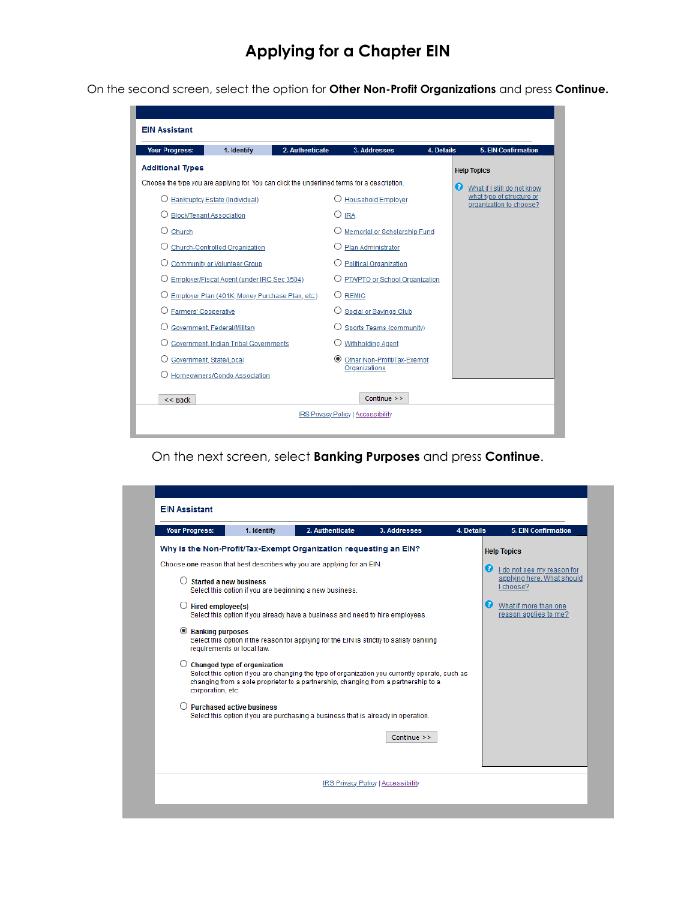On the second screen, select the option for **Other Non-Profit Organizations** and press **Continue.**

| <b>EIN Assistant</b>        |                                                 |                 |                                                                                             |            |                                                      |
|-----------------------------|-------------------------------------------------|-----------------|---------------------------------------------------------------------------------------------|------------|------------------------------------------------------|
| <b>Your Progress:</b>       | 1. Identify                                     | 2. Authenticate | 3. Addresses                                                                                | 4. Details | <b>5. EIN Confirmation</b>                           |
| <b>Additional Types</b>     |                                                 |                 |                                                                                             |            | <b>Help Topics</b>                                   |
|                             |                                                 |                 | Choose the type you are applying for. You can click the underlined terms for a description. |            | Ø<br>What if I still do not know                     |
|                             | Bankruptcy Estate (Individual)                  |                 | <b>Household Employer</b>                                                                   |            | what type of structure or<br>organization to choose? |
|                             | <b>Block/Tenant Association</b>                 |                 | 0<br><b>IRA</b>                                                                             |            |                                                      |
| Church<br>( )               |                                                 |                 | Memorial or Scholarship Fund                                                                |            |                                                      |
|                             | Church-Controlled Organization                  |                 | Plan Administrator                                                                          |            |                                                      |
|                             | Community or Volunteer Group                    |                 | <b>Political Organization</b>                                                               |            |                                                      |
|                             | Employer/Fiscal Agent (under IRC Sec 3504)      |                 | O PTA/PTO or School Organization                                                            |            |                                                      |
|                             | Employer Plan (401K, Money Purchase Plan, etc.) |                 | $\bigcirc$ REMIC                                                                            |            |                                                      |
| <b>Farmers' Cooperative</b> |                                                 |                 | Social or Savings Club                                                                      |            |                                                      |
|                             | Government, Federal/Military                    |                 | Sports Teams (community)                                                                    |            |                                                      |
|                             | Government, Indian Tribal Governments           |                 | <b>Withholding Agent</b>                                                                    |            |                                                      |
|                             | Government, State/Local                         |                 | $\circledcirc$<br>Other Non-Profit/Tax-Exempt                                               |            |                                                      |
|                             | Homeowners/Condo Association                    |                 | Organizations                                                                               |            |                                                      |
|                             |                                                 |                 |                                                                                             |            |                                                      |
| $<<$ Back                   |                                                 |                 | Continue >>                                                                                 |            |                                                      |
|                             |                                                 |                 | IRS Privacy Policy   Accessibility                                                          |            |                                                      |
|                             |                                                 |                 |                                                                                             |            |                                                      |

On the next screen, select **Banking Purposes** and press **Continue**.

|                                                                                                                                                                                                | 1. Identify                         | 2. Authenticate                                                                                                                                                                                                                                                                                                                                                                                                                                                                                                                                                                             | 3. Addresses | 4. Details                 | <b>5. EIN Confirmation</b>                                                                                              |
|------------------------------------------------------------------------------------------------------------------------------------------------------------------------------------------------|-------------------------------------|---------------------------------------------------------------------------------------------------------------------------------------------------------------------------------------------------------------------------------------------------------------------------------------------------------------------------------------------------------------------------------------------------------------------------------------------------------------------------------------------------------------------------------------------------------------------------------------------|--------------|----------------------------|-------------------------------------------------------------------------------------------------------------------------|
|                                                                                                                                                                                                |                                     | Why is the Non-Profit/Tax-Exempt Organization requesting an EIN?                                                                                                                                                                                                                                                                                                                                                                                                                                                                                                                            |              |                            | <b>Help Topics</b>                                                                                                      |
| <b>Started a new business</b><br>$\bigcirc$ Hired employee(s)<br><b>Banking purposes</b><br>$\odot$<br>requirements or local law.<br>corporation, etc.<br>$\bigcirc$ Purchased active business | <b>Changed type of organization</b> | Choose one reason that best describes why you are applying for an EIN.<br>Select this option if you are beginning a new business.<br>Select this option if you already have a business and need to hire employees.<br>Select this option if the reason for applying for the EIN is strictly to satisfy banking<br>Select this option if you are changing the type of organization you currently operate, such as<br>changing from a sole proprietor to a partnership, changing from a partnership to a<br>Select this option if you are purchasing a business that is already in operation. |              | ø<br>$\boldsymbol{\Omega}$ | I do not see my reason for<br>applying here. What should<br>I choose?<br>What if more than one<br>reason applies to me? |
|                                                                                                                                                                                                |                                     |                                                                                                                                                                                                                                                                                                                                                                                                                                                                                                                                                                                             | Continue >>  |                            |                                                                                                                         |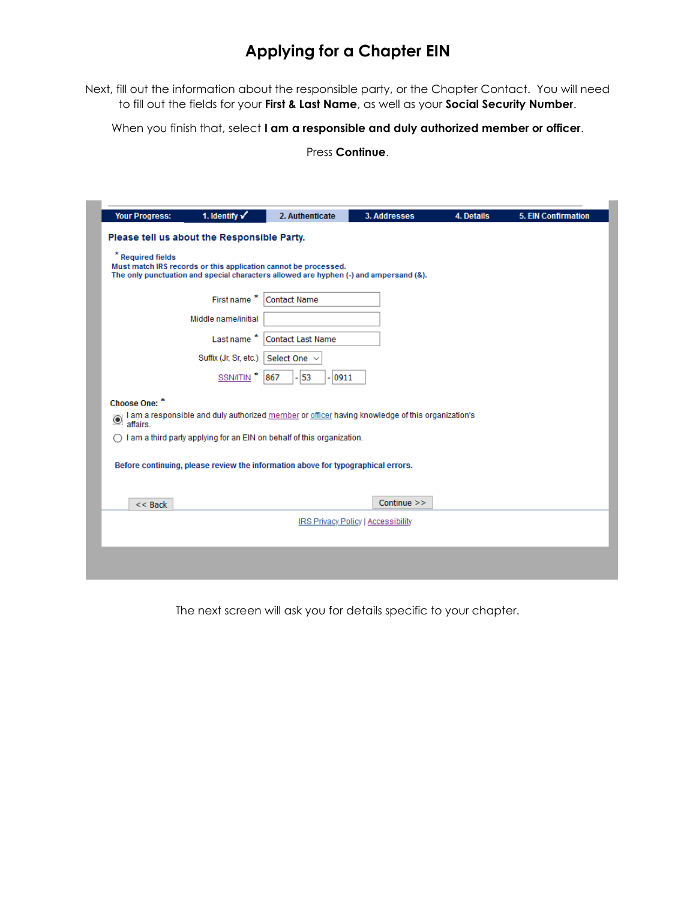Next, fill out the information about the responsible party, or the Chapter Contact. You will need to fill out the fields for your **First & Last Name**, as well as your **Social Security Number**.

When you finish that, select **I am a responsible and duly authorized member or officer**.

Press **Continue**.

|                        | Please tell us about the Responsible Party. |                                                                                                                                                          |                                    |  |
|------------------------|---------------------------------------------|----------------------------------------------------------------------------------------------------------------------------------------------------------|------------------------------------|--|
| <b>Required fields</b> |                                             | Must match IRS records or this application cannot be processed.<br>The only punctuation and special characters allowed are hyphen (-) and ampersand (&). |                                    |  |
|                        | First name                                  | <b>Contact Name</b>                                                                                                                                      |                                    |  |
|                        | Middle name/initial                         |                                                                                                                                                          |                                    |  |
|                        | Last name*                                  | <b>Contact Last Name</b>                                                                                                                                 |                                    |  |
|                        | Suffix (Jr, Sr, etc.)                       | Select One                                                                                                                                               |                                    |  |
|                        | <b>SSN/ITIN</b>                             | 53<br>0911<br>867                                                                                                                                        |                                    |  |
| Choose One: *          |                                             | I am a responsible and duly authorized member or officer having knowledge of this organization's affairs.                                                |                                    |  |
|                        |                                             | I am a third party applying for an EIN on behalf of this organization.                                                                                   |                                    |  |
|                        |                                             | Before continuing, please review the information above for typographical errors.                                                                         |                                    |  |
| $<<$ Back              |                                             |                                                                                                                                                          | Continue >>                        |  |
|                        |                                             |                                                                                                                                                          | IRS Privacy Policy   Accessibility |  |
|                        |                                             |                                                                                                                                                          |                                    |  |

The next screen will ask you for details specific to your chapter.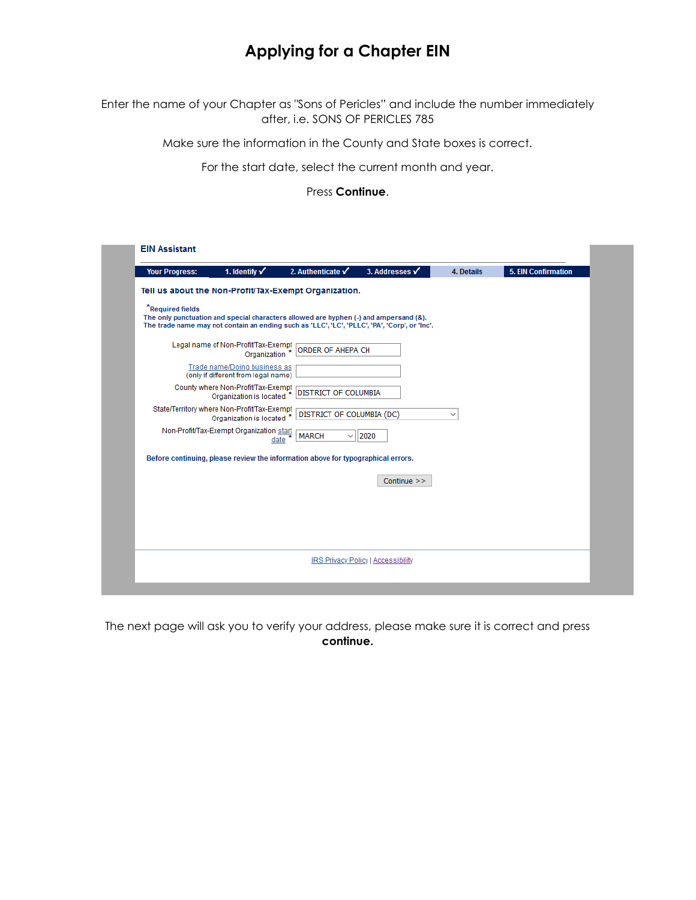Enter the name of your Chapter as "Sons of Pericles" and include the number immediately after, i.e. SONS OF PERICLES 785

Make sure the information in the County and State boxes is correct.

For the start date, select the current month and year.

Press **Continue**.

| <b>Your Progress:</b> | 1. Identify $\checkmark$                                                 | 2. Authenticate $\checkmark$                                                          | 3. Addresses v                                                                                | 4. Details   | <b>5. EIN Confirmation</b> |
|-----------------------|--------------------------------------------------------------------------|---------------------------------------------------------------------------------------|-----------------------------------------------------------------------------------------------|--------------|----------------------------|
|                       |                                                                          | Tell us about the Non-Profit/Tax-Exempt Organization.                                 |                                                                                               |              |                            |
| *Required fields      |                                                                          | The only punctuation and special characters allowed are hyphen (-) and ampersand (&). | The trade name may not contain an ending such as 'LLC', 'LC', 'PLLC', 'PA', 'Corp', or 'Inc'. |              |                            |
|                       | Legal name of Non-Profit/Tax-Exempt<br>Organization                      | <b>ORDER OF AHEPA CH</b>                                                              |                                                                                               |              |                            |
|                       | Trade name/Doing business as<br>(only if different from legal name)      |                                                                                       |                                                                                               |              |                            |
|                       | County where Non-Profit/Tax-Exempt<br>Organization is located *          | <b>DISTRICT OF COLUMBIA</b>                                                           |                                                                                               |              |                            |
|                       | State/Territory where Non-Profit/Tax-Exempt<br>Organization is located * | DISTRICT OF COLUMBIA (DC)                                                             |                                                                                               | $\checkmark$ |                            |
|                       | Non-Profit/Tax-Exempt Organization start<br>date                         | <b>MARCH</b><br>$\checkmark$                                                          | $\vert$ 2020                                                                                  |              |                            |
|                       |                                                                          | Before continuing, please review the information above for typographical errors.      |                                                                                               |              |                            |
|                       |                                                                          |                                                                                       | Continue >>                                                                                   |              |                            |
|                       |                                                                          |                                                                                       |                                                                                               |              |                            |
|                       |                                                                          |                                                                                       |                                                                                               |              |                            |
|                       |                                                                          |                                                                                       |                                                                                               |              |                            |
|                       |                                                                          |                                                                                       | IRS Privacy Policy   Accessibility                                                            |              |                            |

The next page will ask you to verify your address, please make sure it is correct and press **continue.**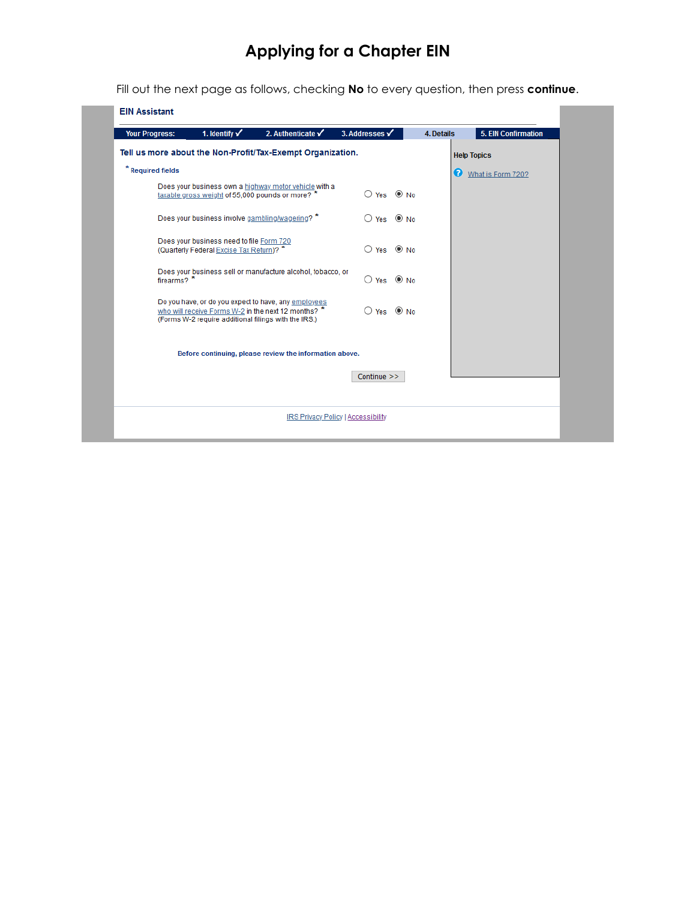Fill out the next page as follows, checking **No** to every question, then press **continue**.

| 1. Identify $\checkmark$<br>2. Authenticate $\checkmark$<br><b>Your Progress:</b>                                                                                   | 3. Addresses √                   | 4. Details            | <b>5. EIN Confirmation</b> |
|---------------------------------------------------------------------------------------------------------------------------------------------------------------------|----------------------------------|-----------------------|----------------------------|
| Tell us more about the Non-Profit/Tax-Exempt Organization.                                                                                                          |                                  |                       | <b>Help Topics</b>         |
| * Required fields                                                                                                                                                   |                                  | $\boldsymbol{\Omega}$ | What is Form 720?          |
| Does your business own a highway motor vehicle with a<br>taxable gross weight of 55,000 pounds or more? *                                                           | $O$ Yes $\odot$ No               |                       |                            |
| Does your business involve gambling/wagering? *                                                                                                                     | $\bigcirc$ Yes $\circledcirc$ No |                       |                            |
| Does your business need to file Form 720<br>(Quarterly Federal Excise Tax Return)? *                                                                                | $\bigcirc$ Yes $\circledcirc$ No |                       |                            |
| Does your business sell or manufacture alcohol, tobacco, or<br>firearms? <sup>*</sup>                                                                               | $\bigcirc$ Yes $\circledcirc$ No |                       |                            |
| Do you have, or do you expect to have, any employees<br>who will receive Forms W-2 in the next 12 months? *<br>(Forms W-2 require additional filings with the IRS.) | $\bigcirc$ Yes $\circledcirc$ No |                       |                            |
| Before continuing, please review the information above.                                                                                                             |                                  |                       |                            |
|                                                                                                                                                                     | Continue >>                      |                       |                            |
| IRS Privacy Policy   Accessibility                                                                                                                                  |                                  |                       |                            |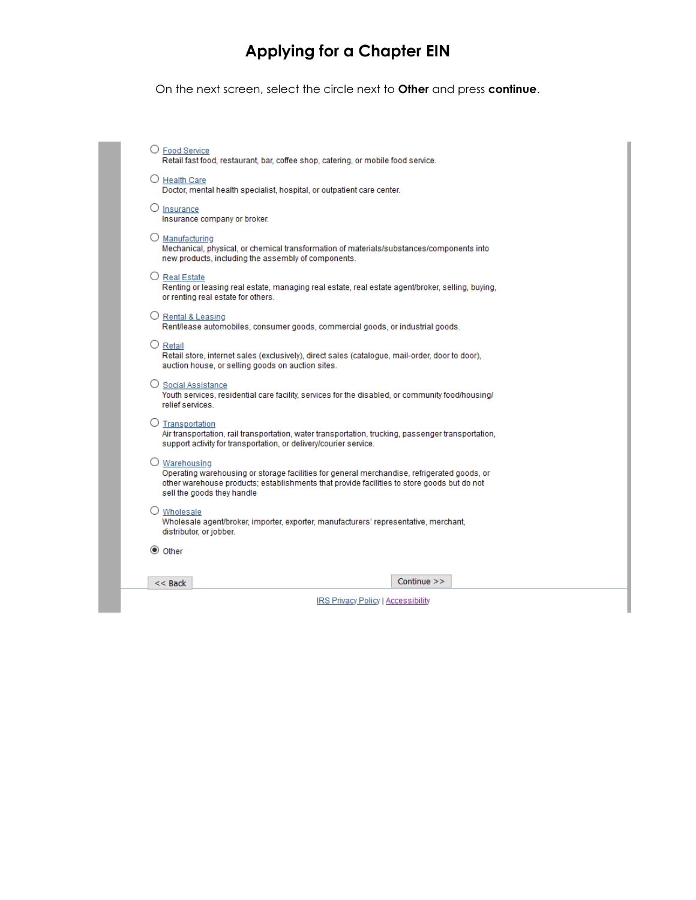On the next screen, select the circle next to **Other** and press **continue**.

| O Food Service<br>Retail fast food, restaurant, bar, coffee shop, catering, or mobile food service.                                                                                                                                      |  |
|------------------------------------------------------------------------------------------------------------------------------------------------------------------------------------------------------------------------------------------|--|
| O Health Care<br>Doctor, mental health specialist, hospital, or outpatient care center.                                                                                                                                                  |  |
| O<br>Insurance<br>Insurance company or broker.                                                                                                                                                                                           |  |
| $\bigcirc$ Manufacturing<br>Mechanical, physical, or chemical transformation of materials/substances/components into<br>new products, including the assembly of components.                                                              |  |
| O Real Estate<br>Renting or leasing real estate, managing real estate, real estate agent/broker, selling, buying,<br>or renting real estate for others.                                                                                  |  |
| O Rental & Leasing<br>Rent/lease automobiles, consumer goods, commercial goods, or industrial goods.                                                                                                                                     |  |
| $O$ Retail<br>Retail store, internet sales (exclusively), direct sales (catalogue, mail-order, door to door),<br>auction house, or selling goods on auction sites.                                                                       |  |
| ○ Social Assistance<br>Youth services, residential care facility, services for the disabled, or community food/housing/<br>relief services.                                                                                              |  |
| $\bigcirc$ Transportation<br>Air transportation, rail transportation, water transportation, trucking, passenger transportation,<br>support activity for transportation, or delivery/courier service.                                     |  |
| O Warehousing<br>Operating warehousing or storage facilities for general merchandise, refrigerated goods, or<br>other warehouse products; establishments that provide facilities to store goods but do not<br>sell the goods they handle |  |
| O Wholesale<br>Wholesale agent/broker, importer, exporter, manufacturers' representative, merchant,<br>distributor, or jobber.                                                                                                           |  |
| ◎ Other                                                                                                                                                                                                                                  |  |
| Continue $\gg$<br>$<<$ Back                                                                                                                                                                                                              |  |
| <b>IRS Privacy Policy   Accessibility</b>                                                                                                                                                                                                |  |